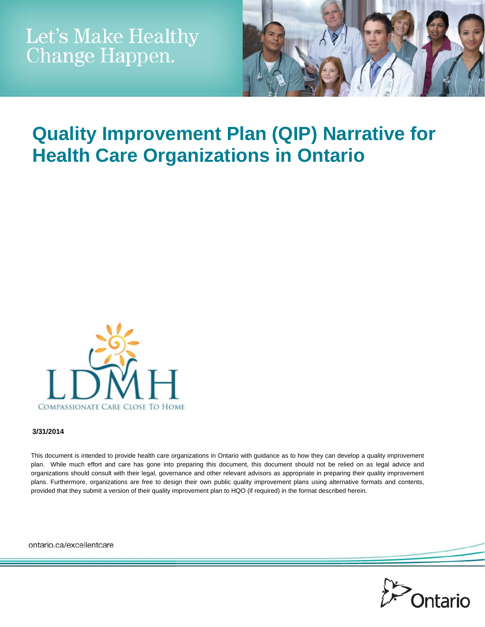

# **Quality Improvement Plan (QIP) Narrative for Health Care Organizations in Ontario**



#### **3/31/2014**

This document is intended to provide health care organizations in Ontario with guidance as to how they can develop a quality improvement plan. While much effort and care has gone into preparing this document, this document should not be relied on as legal advice and organizations should consult with their legal, governance and other relevant advisors as appropriate in preparing their quality improvement plans. Furthermore, organizations are free to design their own public quality improvement plans using alternative formats and contents, provided that they submit a version of their quality improvement plan to HQO (if required) in the format described herein.

ontario.ca/excellentcare

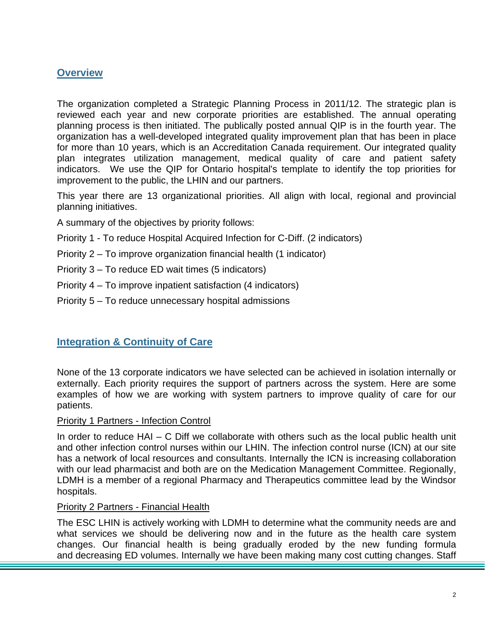## **Overview**

The organization completed a Strategic Planning Process in 2011/12. The strategic plan is reviewed each year and new corporate priorities are established. The annual operating planning process is then initiated. The publically posted annual QIP is in the fourth year. The organization has a well-developed integrated quality improvement plan that has been in place for more than 10 years, which is an Accreditation Canada requirement. Our integrated quality plan integrates utilization management, medical quality of care and patient safety indicators. We use the QIP for Ontario hospital's template to identify the top priorities for improvement to the public, the LHIN and our partners.

This year there are 13 organizational priorities. All align with local, regional and provincial planning initiatives.

A summary of the objectives by priority follows:

- Priority 1 To reduce Hospital Acquired Infection for C-Diff. (2 indicators)
- Priority 2 To improve organization financial health (1 indicator)
- Priority 3 To reduce ED wait times (5 indicators)
- Priority 4 To improve inpatient satisfaction (4 indicators)
- Priority 5 To reduce unnecessary hospital admissions

## **Integration & Continuity of Care**

None of the 13 corporate indicators we have selected can be achieved in isolation internally or externally. Each priority requires the support of partners across the system. Here are some examples of how we are working with system partners to improve quality of care for our patients.

#### Priority 1 Partners - Infection Control

In order to reduce HAI – C Diff we collaborate with others such as the local public health unit and other infection control nurses within our LHIN. The infection control nurse (ICN) at our site has a network of local resources and consultants. Internally the ICN is increasing collaboration with our lead pharmacist and both are on the Medication Management Committee. Regionally, LDMH is a member of a regional Pharmacy and Therapeutics committee lead by the Windsor hospitals.

#### Priority 2 Partners - Financial Health

The ESC LHIN is actively working with LDMH to determine what the community needs are and what services we should be delivering now and in the future as the health care system changes. Our financial health is being gradually eroded by the new funding formula and decreasing ED volumes. Internally we have been making many cost cutting changes. Staff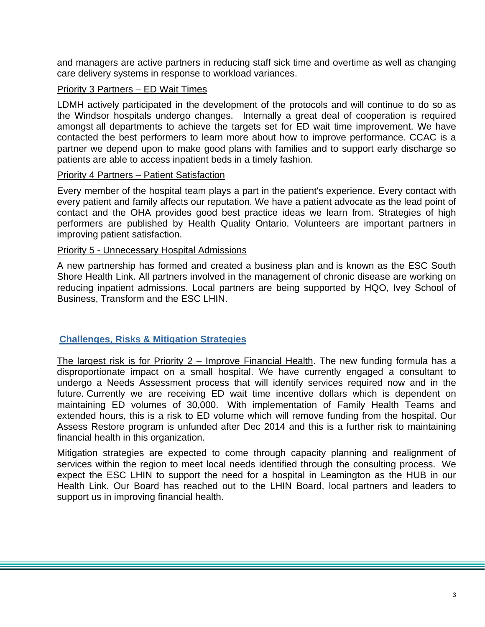and managers are active partners in reducing staff sick time and overtime as well as changing care delivery systems in response to workload variances.

#### Priority 3 Partners – ED Wait Times

LDMH actively participated in the development of the protocols and will continue to do so as the Windsor hospitals undergo changes. Internally a great deal of cooperation is required amongst all departments to achieve the targets set for ED wait time improvement. We have contacted the best performers to learn more about how to improve performance. CCAC is a partner we depend upon to make good plans with families and to support early discharge so patients are able to access inpatient beds in a timely fashion.

#### Priority 4 Partners – Patient Satisfaction

Every member of the hospital team plays a part in the patient's experience. Every contact with every patient and family affects our reputation. We have a patient advocate as the lead point of contact and the OHA provides good best practice ideas we learn from. Strategies of high performers are published by Health Quality Ontario. Volunteers are important partners in improving patient satisfaction.

#### Priority 5 - Unnecessary Hospital Admissions

A new partnership has formed and created a business plan and is known as the ESC South Shore Health Link. All partners involved in the management of chronic disease are working on reducing inpatient admissions. Local partners are being supported by HQO, Ivey School of Business, Transform and the ESC LHIN.

#### **Challenges, Risks & Mitigation Strategies**

The largest risk is for Priority 2 – Improve Financial Health. The new funding formula has a disproportionate impact on a small hospital. We have currently engaged a consultant to undergo a Needs Assessment process that will identify services required now and in the future. Currently we are receiving ED wait time incentive dollars which is dependent on maintaining ED volumes of 30,000. With implementation of Family Health Teams and extended hours, this is a risk to ED volume which will remove funding from the hospital. Our Assess Restore program is unfunded after Dec 2014 and this is a further risk to maintaining financial health in this organization.

Mitigation strategies are expected to come through capacity planning and realignment of services within the region to meet local needs identified through the consulting process. We expect the ESC LHIN to support the need for a hospital in Leamington as the HUB in our Health Link. Our Board has reached out to the LHIN Board, local partners and leaders to support us in improving financial health.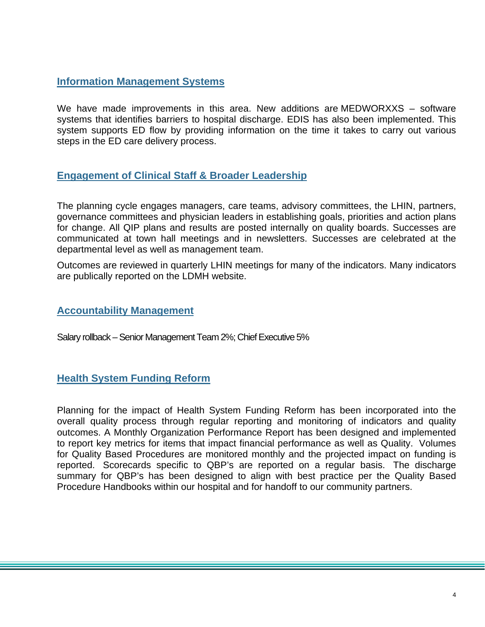## **Information Management Systems**

We have made improvements in this area. New additions are MEDWORXXS – software systems that identifies barriers to hospital discharge. EDIS has also been implemented. This system supports ED flow by providing information on the time it takes to carry out various steps in the ED care delivery process.

## **Engagement of Clinical Staff & Broader Leadership**

The planning cycle engages managers, care teams, advisory committees, the LHIN, partners, governance committees and physician leaders in establishing goals, priorities and action plans for change. All QIP plans and results are posted internally on quality boards. Successes are communicated at town hall meetings and in newsletters. Successes are celebrated at the departmental level as well as management team.

Outcomes are reviewed in quarterly LHIN meetings for many of the indicators. Many indicators are publically reported on the LDMH website.

## **Accountability Management**

Salary rollback – Senior Management Team 2%; Chief Executive 5%

## **Health System Funding Reform**

Planning for the impact of Health System Funding Reform has been incorporated into the overall quality process through regular reporting and monitoring of indicators and quality outcomes. A Monthly Organization Performance Report has been designed and implemented to report key metrics for items that impact financial performance as well as Quality. Volumes for Quality Based Procedures are monitored monthly and the projected impact on funding is reported. Scorecards specific to QBP's are reported on a regular basis. The discharge summary for QBP's has been designed to align with best practice per the Quality Based Procedure Handbooks within our hospital and for handoff to our community partners.